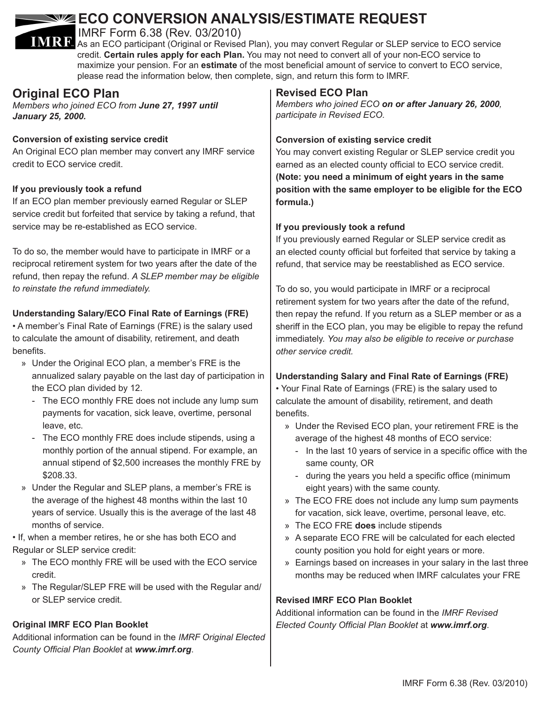# **ECO CONVERSION ANALYSIS/ESTIMATE REQUEST**

IMRF Form 6.38 (Rev. 03/2010)

**IMRRI** As an ECO participant (Original or Revised Plan), you may convert Regular or SLEP service to ECO service credit. **Certain rules apply for each Plan.** You may not need to convert all of your non-ECO service to maximize your pension. For an **estimate** of the most beneficial amount of service to convert to ECO service, please read the information below, then complete, sign, and return this form to IMRF.

## **Original ECO Plan**

*Members who joined ECO from June 27, 1997 until January 25, 2000.*

#### **Conversion of existing service credit**

An Original ECO plan member may convert any IMRF service credit to ECO service credit.

#### **If you previously took a refund**

If an ECO plan member previously earned Regular or SLEP service credit but forfeited that service by taking a refund, that service may be re-established as ECO service.

To do so, the member would have to participate in IMRF or a reciprocal retirement system for two years after the date of the refund, then repay the refund. *A SLEP member may be eligible to reinstate the refund immediately.* 

### **Understanding Salary/ECO Final Rate of Earnings (FRE)**

• A member's Final Rate of Earnings (FRE) is the salary used to calculate the amount of disability, retirement, and death benefits.

- » Under the Original ECO plan, a member's FRE is the annualized salary payable on the last day of participation in the ECO plan divided by 12.
	- The ECO monthly FRE does not include any lump sum payments for vacation, sick leave, overtime, personal leave, etc.
	- The ECO monthly FRE does include stipends, using a monthly portion of the annual stipend. For example, an annual stipend of \$2,500 increases the monthly FRE by \$208.33.
- » Under the Regular and SLEP plans, a member's FRE is the average of the highest 48 months within the last 10 years of service. Usually this is the average of the last 48 months of service.

• If, when a member retires, he or she has both ECO and Regular or SLEP service credit:

- » The ECO monthly FRE will be used with the ECO service credit.
- » The Regular/SLEP FRE will be used with the Regular and/ or SLEP service credit.

## **Original IMRF ECO Plan Booklet**

Additional information can be found in the *IMRF Original Elected County Official Plan Booklet* at *www.imrf.org*.

## **Revised ECO Plan**

*Members who joined ECO on or after January 26, 2000, participate in Revised ECO.*

### **Conversion of existing service credit**

You may convert existing Regular or SLEP service credit you earned as an elected county official to ECO service credit. **(Note: you need a minimum of eight years in the same position with the same employer to be eligible for the ECO formula.)**

## **If you previously took a refund**

If you previously earned Regular or SLEP service credit as an elected county official but forfeited that service by taking a refund, that service may be reestablished as ECO service.

To do so, you would participate in IMRF or a reciprocal retirement system for two years after the date of the refund, then repay the refund. If you return as a SLEP member or as a sheriff in the ECO plan, you may be eligible to repay the refund immediately. *You may also be eligible to receive or purchase other service credit.*

## **Understanding Salary and Final Rate of Earnings (FRE)**

• Your Final Rate of Earnings (FRE) is the salary used to calculate the amount of disability, retirement, and death benefits.

- » Under the Revised ECO plan, your retirement FRE is the average of the highest 48 months of ECO service:
	- In the last 10 years of service in a specific office with the same county, OR
	- during the years you held a specific office (minimum eight years) with the same county.
- » The ECO FRE does not include any lump sum payments for vacation, sick leave, overtime, personal leave, etc.
- » The ECO FRE **does** include stipends
- » A separate ECO FRE will be calculated for each elected county position you hold for eight years or more.
- » Earnings based on increases in your salary in the last three months may be reduced when IMRF calculates your FRE

## **Revised IMRF ECO Plan Booklet**

Additional information can be found in the *IMRF Revised Elected County Official Plan Booklet* at *www.imrf.org*.